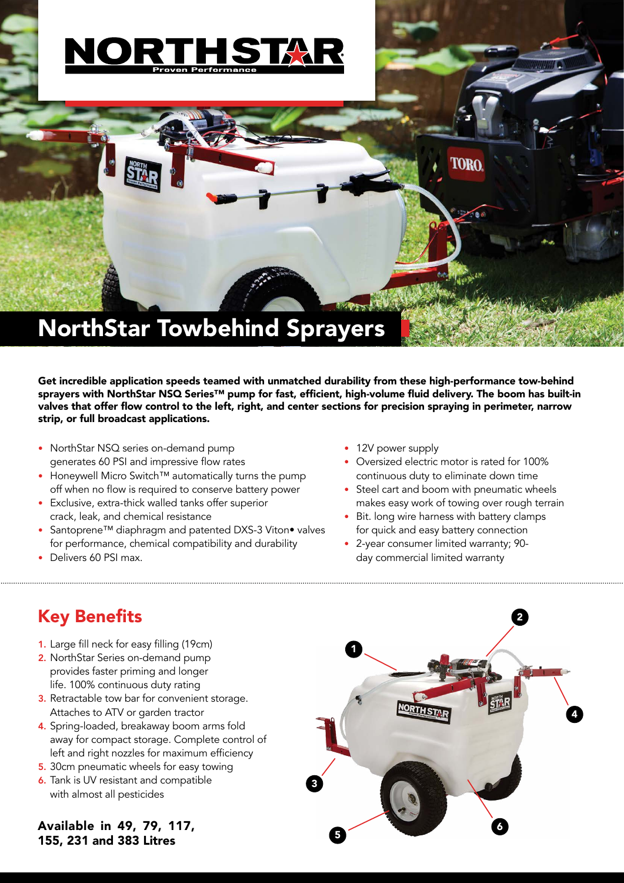

Get incredible application speeds teamed with unmatched durability from these high-performance tow-behind sprayers with NorthStar NSQ Series™ pump for fast, efficient, high-volume fluid delivery. The boom has built-in valves that offer flow control to the left, right, and center sections for precision spraying in perimeter, narrow strip, or full broadcast applications.

- NorthStar NSQ series on-demand pump generates 60 PSI and impressive flow rates
- Honeywell Micro Switch™ automatically turns the pump off when no flow is required to conserve battery power
- Exclusive, extra-thick walled tanks offer superior crack, leak, and chemical resistance
- Santoprene™ diaphragm and patented DXS-3 Viton• valves for performance, chemical compatibility and durability
- Delivers 60 PSI max.
- 12V power supply
- Oversized electric motor is rated for 100% continuous duty to eliminate down time
- Steel cart and boom with pneumatic wheels makes easy work of towing over rough terrain
- Bit. long wire harness with battery clamps for quick and easy battery connection
- 2-year consumer limited warranty; 90 day commercial limited warranty

## Key Benefits

- 1. Large fill neck for easy filling (19cm)
- 2. NorthStar Series on-demand pump provides faster priming and longer life. 100% continuous duty rating
- 3. Retractable tow bar for convenient storage. Attaches to ATV or garden tractor
- 4. Spring-loaded, breakaway boom arms fold away for compact storage. Complete control of left and right nozzles for maximum efficiency
- 5. 30cm pneumatic wheels for easy towing
- 6. Tank is UV resistant and compatible with almost all pesticides

Available in 49, 79, 117, 155, 231 and 383 Litres